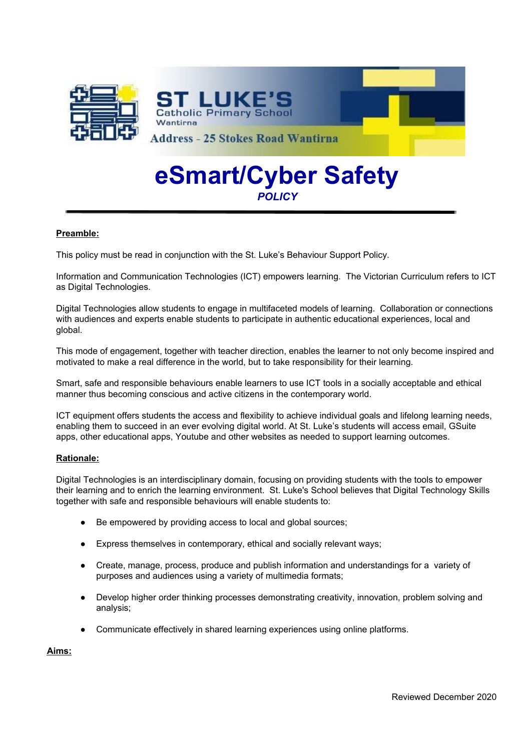

# **eSmart/Cyber Safety** *POLICY*

## **Preamble:**

This policy must be read in conjunction with the St. Luke's Behaviour Support Policy.

Information and Communication Technologies (ICT) empowers learning. The Victorian Curriculum refers to ICT as Digital Technologies.

Digital Technologies allow students to engage in multifaceted models of learning. Collaboration or connections with audiences and experts enable students to participate in authentic educational experiences, local and global.

This mode of engagement, together with teacher direction, enables the learner to not only become inspired and motivated to make a real difference in the world, but to take responsibility for their learning.

Smart, safe and responsible behaviours enable learners to use ICT tools in a socially acceptable and ethical manner thus becoming conscious and active citizens in the contemporary world.

ICT equipment offers students the access and flexibility to achieve individual goals and lifelong learning needs, enabling them to succeed in an ever evolving digital world. At St. Luke's students will access email, GSuite apps, other educational apps, Youtube and other websites as needed to support learning outcomes.

## **Rationale:**

Digital Technologies is an interdisciplinary domain, focusing on providing students with the tools to empower their learning and to enrich the learning environment. St. Luke's School believes that Digital Technology Skills together with safe and responsible behaviours will enable students to:

- Be empowered by providing access to local and global sources;
- Express themselves in contemporary, ethical and socially relevant ways;
- Create, manage, process, produce and publish information and understandings for a variety of purposes and audiences using a variety of multimedia formats;
- Develop higher order thinking processes demonstrating creativity, innovation, problem solving and analysis;
- Communicate effectively in shared learning experiences using online platforms.

**Aims:**